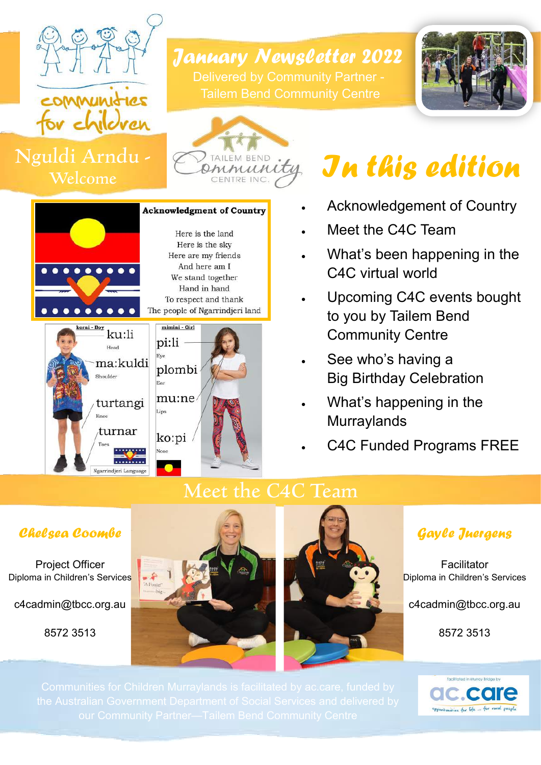

### Nguldi Arndu - Welcome

 $00000000$ 

*January Newsletter 2022* Tailem Bend Community Centre





#### **Acknowledgment of Country**

Here is the land Here is the sky Here are my friends And here am I We stand together Hand in hand To respect and thank The people of Ngarrindjeri land



# *In this edition*

- Acknowledgement of Country
- Meet the C4C Team
- What's been happening in the C4C virtual world
- Upcoming C4C events bought to you by Tailem Bend Community Centre
- See who's having a Big Birthday Celebration
- What's happening in the **Murraylands** 
	- C4C Funded Programs FREE

#### *Chelsea Coombe*

Project Officer Diploma in Children's Services

c4cadmin@tbcc.org.au

8572 3513





### *Gayle Juergens*

Facilitator Diploma in Children's Services

c4cadmin@tbcc.org.au

8572 3513

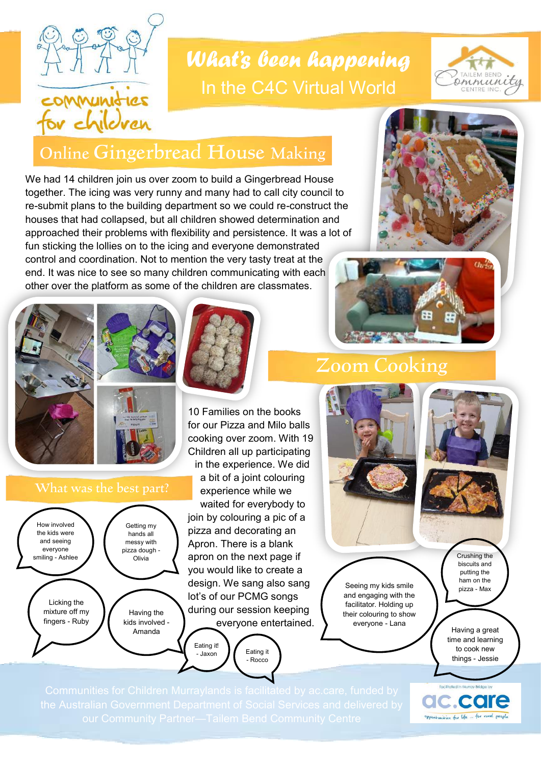

## *What's been happening* In the C4C Virtual World



## Online Gingerbread House Making

We had 14 children join us over zoom to build a Gingerbread House together. The icing was very runny and many had to call city council to re-submit plans to the building department so we could re-construct the houses that had collapsed, but all children showed determination and approached their problems with flexibility and persistence. It was a lot of fun sticking the lollies on to the icing and everyone demonstrated control and coordination. Not to mention the very tasty treat at the end. It was nice to see so many children communicating with each other over the platform as some of the children are classmates.







10 Families on the books for our Pizza and Milo balls cooking over zoom. With 19 Children all up participating in the experience. We did

Licking the mixture off my fingers - Ruby How involved the kids were and seeing everyone smiling - Ashlee Getting my hands all messy with pizza dough - Olivia Having the kids involved -

a bit of a joint colouring experience while we waited for everybody to join by colouring a pic of a pizza and decorating an Apron. There is a blank apron on the next page if you would like to create a design. We sang also sang lot's of our PCMG songs during our session keeping everyone entertained.

 $\frac{1}{2}$   $\frac{1}{2}$  Eating it - Rocco

### Zoom Cooking



Crushing the biscuits and putting the ham on the pizza - Max

time and learning to cook new things - Jessie

ac.care opportunities for life ... for rural people

Eating it!



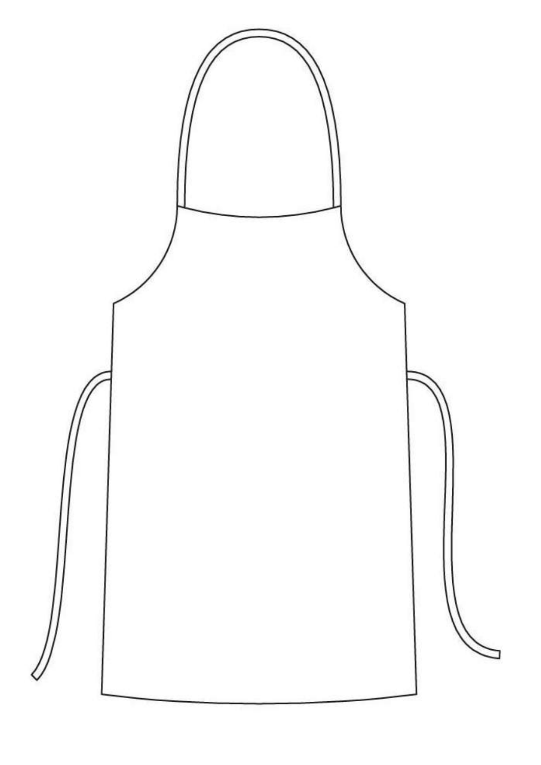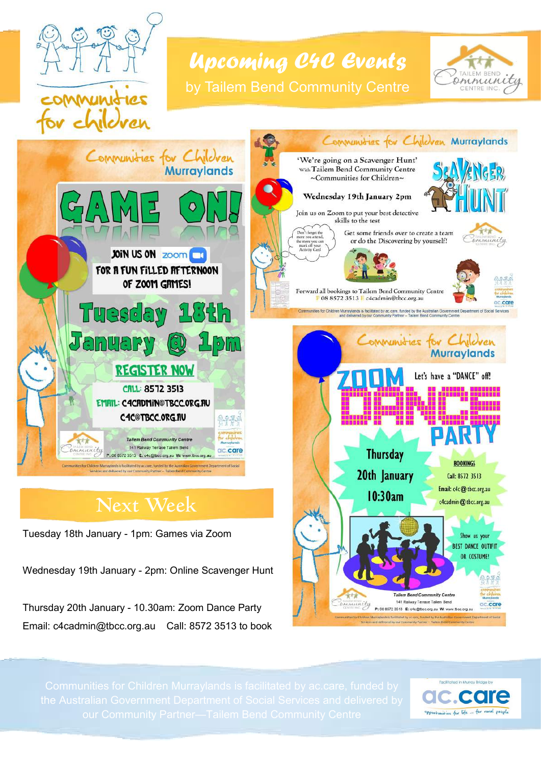

*Upcoming C4C Events* by Tailem Bend Community Centre





Next Week

Tuesday 18th January - 1pm: Games via Zoom

Wednesday 19th January - 2pm: Online Scavenger Hunt

Thursday 20th January - 10.30am: Zoom Dance Party Email: c4cadmin@tbcc.org.au Call: 8572 3513 to book



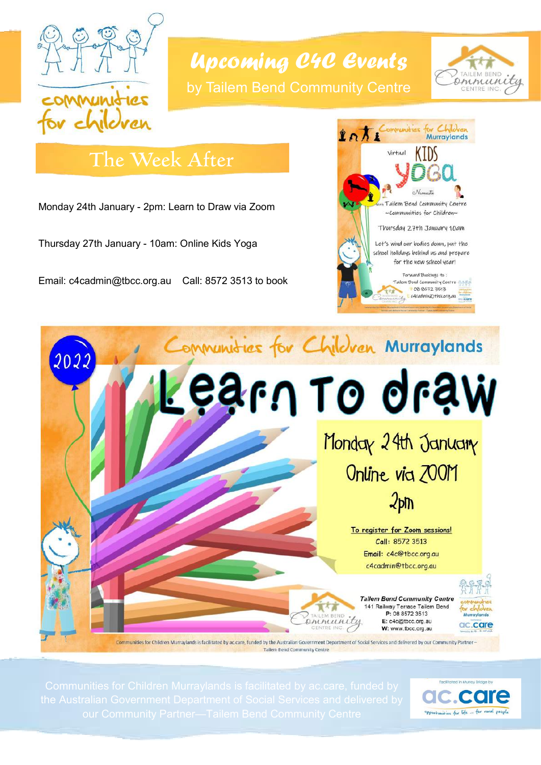

*Upcoming C4C Events* by Tailem Bend Community Centre



## The Week After

Monday 24th January - 2pm: Learn to Draw via Zoom

Thursday 27th January - 10am: Online Kids Yoga

Email: c4cadmin@tbcc.org.au Call: 8572 3513 to book





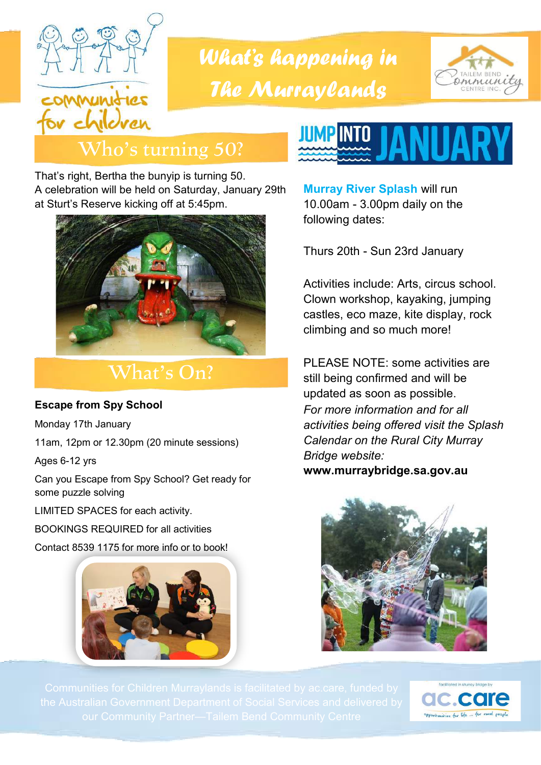

## *What's happening in The Murraylands*



## Who's turning 50?

That's right, Bertha the bunyip is turning 50. A celebration will be held on Saturday, January 29th at Sturt's Reserve kicking off at 5:45pm.



### What's On?

#### **Escape from Spy School**

Monday 17th January

11am, 12pm or 12.30pm (20 minute sessions)

Ages 6-12 yrs

Can you Escape from Spy School? Get ready for some puzzle solving

LIMITED SPACES for each activity.

BOOKINGS REQUIRED for all activities

Contact 8539 1175 for more info or to book!





**Murray River Splash** will run 10.00am - 3.00pm daily on the following dates:

Thurs 20th - Sun 23rd January

Activities include: Arts, circus school. Clown workshop, kayaking, jumping castles, eco maze, kite display, rock climbing and so much more!

PLEASE NOTE: some activities are still being confirmed and will be updated as soon as possible. *For more information and for all activities being offered visit the Splash Calendar on the Rural City Murray Bridge website:*  **www.murraybridge.sa.gov.au**



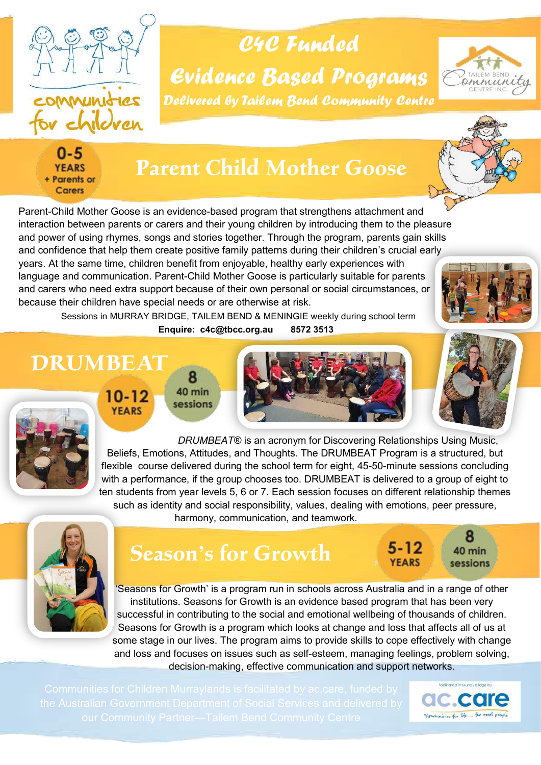

## *C4C Funded*

*Evidence Based Programs Delivered by Tailem Bend Community Centre*





## **Parent Child Mother Goose**

Parent-Child Mother Goose is an evidence-based program that strengthens attachment and interaction between parents or carers and their young children by introducing them to the pleasure and power of using rhymes, songs and stories together. Through the program, parents gain skills and confidence that help them create positive family patterns during their children's crucial early years. At the same time, children benefit from enjoyable, healthy early experiences with language and communication. Parent-Child Mother Goose is particularly suitable for parents and carers who need extra support because of their own personal or social circumstances, or because their children have special needs or are otherwise at risk.

Sessions in MURRAY BRIDGE, TAILEM BEND & MENINGIE weekly during school term **Enquire: c4c@tbcc.org.au 8572 3513**



**DRUMBEAT**

10-12 **YEARS** 







*DRUMBEAT®* is an acronym for Discovering Relationships Using Music, Beliefs, Emotions, Attitudes, and Thoughts. The DRUMBEAT Program is a structured, but flexible course delivered during the school term for eight, 45-50-minute sessions concluding with a performance, if the group chooses too. DRUMBEAT is delivered to a group of eight to ten students from year levels 5, 6 or 7. Each session focuses on different relationship themes such as identity and social responsibility, values, dealing with emotions, peer pressure, harmony, communication, and teamwork.



## **Season's for Growth**

5-12

8 40 min sessions

'Seasons for Growth' is a program run in schools across Australia and in a range of other institutions. Seasons for Growth is an evidence based program that has been very successful in contributing to the social and emotional wellbeing of thousands of children. Seasons for Growth is a program which looks at change and loss that affects all of us at some stage in our lives. The program aims to provide skills to cope effectively with change and loss and focuses on issues such as self-esteem, managing feelings, problem solving, decision-making, effective communication and support networks.